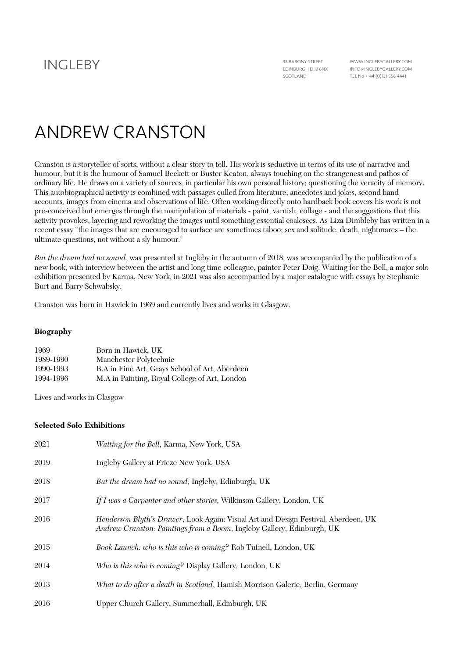WWW.INGLEBYGALLERY.COM INFO@INGLEBYGALLERY.COM TEL No + 44 (0)131 556 4441

# ANDREW CRANSTON

Cranston is a storyteller of sorts, without a clear story to tell. His work is seductive in terms of its use of narrative and humour, but it is the humour of Samuel Beckett or Buster Keaton, always touching on the strangeness and pathos of ordinary life. He draws on a variety of sources, in particular his own personal history; questioning the veracity of memory. This autobiographical activity is combined with passages culled from literature, anecdotes and jokes, second hand accounts, images from cinema and observations of life. Often working directly onto hardback book covers his work is not pre-conceived but emerges through the manipulation of materials - paint, varnish, collage - and the suggestions that this activity provokes, layering and reworking the images until something essential coalesces. As Liza Dimbleby has written in a recent essay "the images that are encouraged to surface are sometimes taboo; sex and solitude, death, nightmares – the ultimate questions, not without a sly humour."

*But the dream had no sound*, was presented at Ingleby in the autumn of 2018, was accompanied by the publication of a new book, with interview between the artist and long time colleague, painter Peter Doig. Waiting for the Bell, a major solo exhibition presented by Karma, New York, in 2021 was also accompanied by a major catalogue with essays by Stephanie Burt and Barry Schwabsky.

Cranston was born in Hawick in 1969 and currently lives and works in Glasgow.

## **Biography**

| 1969      | Born in Hawick, UK                             |
|-----------|------------------------------------------------|
| 1989-1990 | Manchester Polytechnic                         |
| 1990-1993 | B.A in Fine Art, Grays School of Art, Aberdeen |
| 1994-1996 | M.A in Painting, Royal College of Art, London  |

Lives and works in Glasgow

#### **Selected Solo Exhibitions**

| 2021 | <i>Waiting for the Bell, Karma, New York, USA</i>                                                                                                            |
|------|--------------------------------------------------------------------------------------------------------------------------------------------------------------|
| 2019 | Ingleby Gallery at Frieze New York, USA                                                                                                                      |
| 2018 | But the dream had no sound, Ingleby, Edinburgh, UK                                                                                                           |
| 2017 | If I was a Carpenter and other stories, Wilkinson Gallery, London, UK                                                                                        |
| 2016 | Henderson Blyth's Drawer, Look Again: Visual Art and Design Festival, Aberdeen, UK<br>Andrew Cranston: Paintings from a Room, Ingleby Gallery, Edinburgh, UK |
| 2015 | Book Launch: who is this who is coming? Rob Tufnell, London, UK                                                                                              |
| 2014 | Who is this who is coming? Display Gallery, London, UK                                                                                                       |
| 2013 | What to do after a death in Scotland, Hamish Morrison Galerie, Berlin, Germany                                                                               |
| 2016 | Upper Church Gallery, Summerhall, Edinburgh, UK                                                                                                              |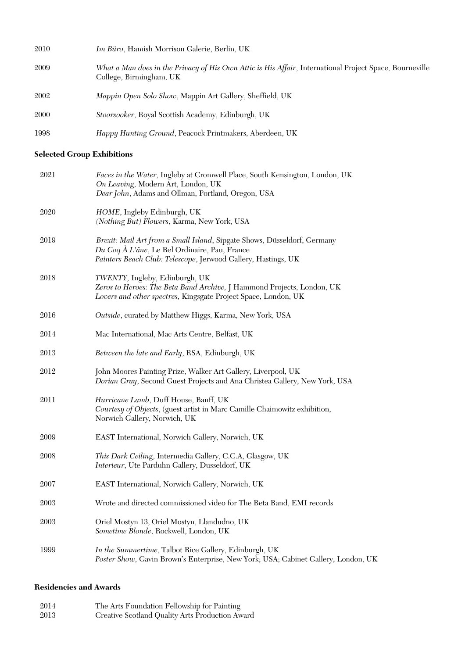| 2010 | Im Büro, Hamish Morrison Galerie, Berlin, UK                                                                                       |
|------|------------------------------------------------------------------------------------------------------------------------------------|
| 2009 | What a Man does in the Privacy of His Own Attic is His Affair, International Project Space, Bourneville<br>College, Birmingham, UK |
| 2002 | Mappin Open Solo Show, Mappin Art Gallery, Sheffield, UK                                                                           |
| 2000 | Stoorsooker, Royal Scottish Academy, Edinburgh, UK                                                                                 |
| 1998 | Happy Hunting Ground, Peacock Printmakers, Aberdeen, UK                                                                            |

# **Selected Group Exhibitions**

| 2021 | Faces in the Water, Ingleby at Cromwell Place, South Kensington, London, UK<br>On Leaving, Modern Art, London, UK<br>Dear John, Adams and Ollman, Portland, Oregon, USA                    |
|------|--------------------------------------------------------------------------------------------------------------------------------------------------------------------------------------------|
| 2020 | HOME, Ingleby Edinburgh, UK<br>(Nothing But) Flowers, Karma, New York, USA                                                                                                                 |
| 2019 | Brexit: Mail Art from a Small Island, Sipgate Shows, Düsseldorf, Germany<br>Du Coq À L'âne, Le Bel Ordinaire, Pau, France<br>Painters Beach Club: Telescope, Jerwood Gallery, Hastings, UK |
| 2018 | TWENTY, Ingleby, Edinburgh, UK<br>Zeros to Heroes: The Beta Band Archive, J Hammond Projects, London, UK<br>Lovers and other spectres, Kingsgate Project Space, London, UK                 |
| 2016 | Outside, curated by Matthew Higgs, Karma, New York, USA                                                                                                                                    |
| 2014 | Mac International, Mac Arts Centre, Belfast, UK                                                                                                                                            |
| 2013 | Between the late and Early, RSA, Edinburgh, UK                                                                                                                                             |
| 2012 | John Moores Painting Prize, Walker Art Gallery, Liverpool, UK<br>Dorian Gray, Second Guest Projects and Ana Christea Gallery, New York, USA                                                |
| 2011 | Hurricane Lamb, Duff House, Banff, UK<br>Courtesy of Objects, (guest artist in Marc Camille Chaimowitz exhibition,<br>Norwich Gallery, Norwich, UK                                         |
| 2009 | EAST International, Norwich Gallery, Norwich, UK                                                                                                                                           |
| 2008 | This Dark Ceiling, Intermedia Gallery, C.C.A, Glasgow, UK<br>Interieur, Ute Parduhn Gallery, Dusseldorf, UK                                                                                |
| 2007 | EAST International, Norwich Gallery, Norwich, UK                                                                                                                                           |
| 2003 | Wrote and directed commissioned video for The Beta Band, EMI records                                                                                                                       |
| 2003 | Oriel Mostyn 13, Oriel Mostyn, Llandudno, UK<br>Sometime Blonde, Rockwell, London, UK                                                                                                      |
| 1999 | In the Summertime, Talbot Rice Gallery, Edinburgh, UK<br>Poster Show, Gavin Brown's Enterprise, New York; USA; Cabinet Gallery, London, UK                                                 |

## **Residencies and Awards**

| 2014 | The Arts Foundation Fellowship for Painting     |
|------|-------------------------------------------------|
| 2013 | Creative Scotland Quality Arts Production Award |